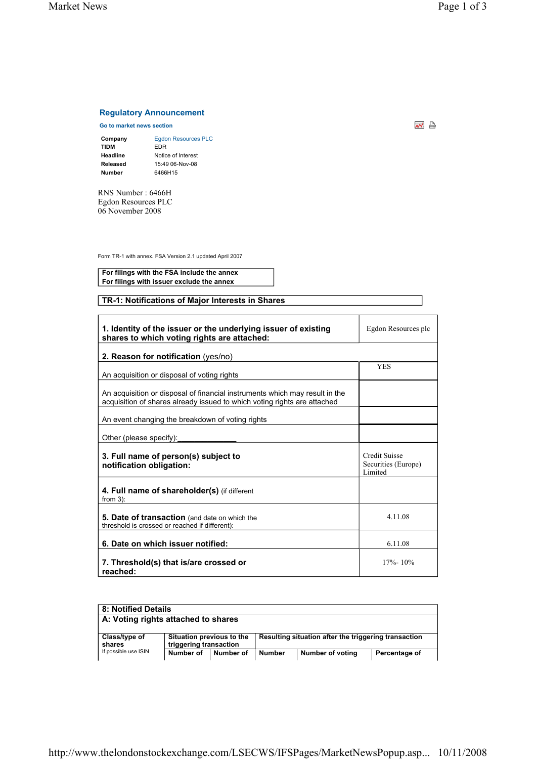## **Regulatory Announcement**

**Go to market news section**<br> **Go to market news section** 

| <b>Egdon Resources PLC</b> |
|----------------------------|
| FDR                        |
| Notice of Interest         |
| 15:49 06-Nov-08            |
| 6466H15                    |
|                            |

RNS Number : 6466H Egdon Resources PLC 06 November 2008

Form TR-1 with annex. FSA Version 2.1 updated April 2007

**For filings with the FSA include the annex For filings with issuer exclude the annex**

## **TR-1: Notifications of Major Interests in Shares**

| 1. Identity of the issuer or the underlying issuer of existing<br>shares to which voting rights are attached:                                           | Egdon Resources plc                                    |
|---------------------------------------------------------------------------------------------------------------------------------------------------------|--------------------------------------------------------|
| 2. Reason for notification (yes/no)                                                                                                                     |                                                        |
| An acquisition or disposal of voting rights                                                                                                             | <b>YES</b>                                             |
| An acquisition or disposal of financial instruments which may result in the<br>acquisition of shares already issued to which voting rights are attached |                                                        |
| An event changing the breakdown of voting rights                                                                                                        |                                                        |
| Other (please specify):                                                                                                                                 |                                                        |
| 3. Full name of person(s) subject to<br>notification obligation:                                                                                        | <b>Credit Suisse</b><br>Securities (Europe)<br>Limited |
| 4. Full name of shareholder(s) (if different<br>from $3$ ):                                                                                             |                                                        |
| 5. Date of transaction (and date on which the<br>threshold is crossed or reached if different):                                                         | 4.11.08                                                |
| 6. Date on which issuer notified:                                                                                                                       | 6.11.08                                                |
| 7. Threshold(s) that is/are crossed or<br>reached:                                                                                                      | $17\% - 10\%$                                          |

| 8: Notified Details                        |           |                        |                                                      |                         |               |
|--------------------------------------------|-----------|------------------------|------------------------------------------------------|-------------------------|---------------|
| A: Voting rights attached to shares        |           |                        |                                                      |                         |               |
|                                            |           |                        |                                                      |                         |               |
| Situation previous to the<br>Class/type of |           |                        | Resulting situation after the triggering transaction |                         |               |
| shares                                     |           | triggering transaction |                                                      |                         |               |
| If possible use ISIN                       | Number of | Number of              | <b>Number</b>                                        | <b>Number of voting</b> | Percentage of |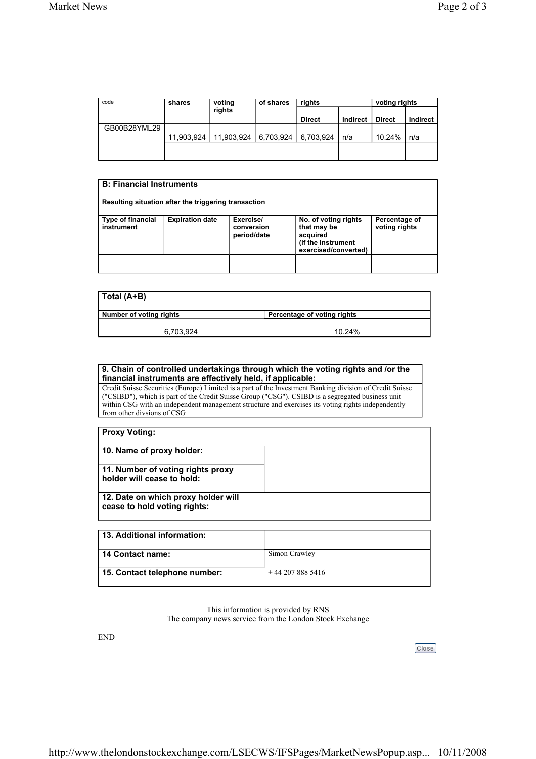| code         | shares     | voting                 | of shares | rights        |          | voting rights |          |
|--------------|------------|------------------------|-----------|---------------|----------|---------------|----------|
|              |            | rights                 |           | <b>Direct</b> | Indirect | <b>Direct</b> | Indirect |
| GB00B28YML29 |            |                        |           |               |          |               |          |
|              | 11,903,924 | 11,903,924   6,703,924 |           | 6,703,924     | n/a      | 10.24%        | n/a      |
|              |            |                        |           |               |          |               |          |
|              |            |                        |           |               |          |               |          |

| <b>B: Financial Instruments</b>                      |                        |                                        |                                                                                               |                                |
|------------------------------------------------------|------------------------|----------------------------------------|-----------------------------------------------------------------------------------------------|--------------------------------|
| Resulting situation after the triggering transaction |                        |                                        |                                                                                               |                                |
| Type of financial<br>instrument                      | <b>Expiration date</b> | Exercise/<br>conversion<br>period/date | No. of voting rights<br>that may be<br>acquired<br>(if the instrument<br>exercised/converted) | Percentage of<br>voting rights |
|                                                      |                        |                                        |                                                                                               |                                |

| Total (A+B)             |                             |
|-------------------------|-----------------------------|
| Number of voting rights | Percentage of voting rights |
| 6,703,924               | 10.24%                      |

## **9. Chain of controlled undertakings through which the voting rights and /or the financial instruments are effectively held, if applicable:**

Credit Suisse Securities (Europe) Limited is a part of the Investment Banking division of Credit Suisse ("CSIBD"), which is part of the Credit Suisse Group ("CSG"). CSIBD is a segregated business unit within CSG with an independent management structure and exercises its voting rights independently from other divsions of CSG

| <b>Proxy Voting:</b>                                                |  |
|---------------------------------------------------------------------|--|
| 10. Name of proxy holder:                                           |  |
| 11. Number of voting rights proxy<br>holder will cease to hold:     |  |
| 12. Date on which proxy holder will<br>cease to hold voting rights: |  |
| 13. Additional information:                                         |  |

| 13. Additional Information.   |                 |
|-------------------------------|-----------------|
| 14 Contact name:              | Simon Crawley   |
| 15. Contact telephone number: | $+442078885416$ |

This information is provided by RNS The company news service from the London Stock Exchange

END

Close